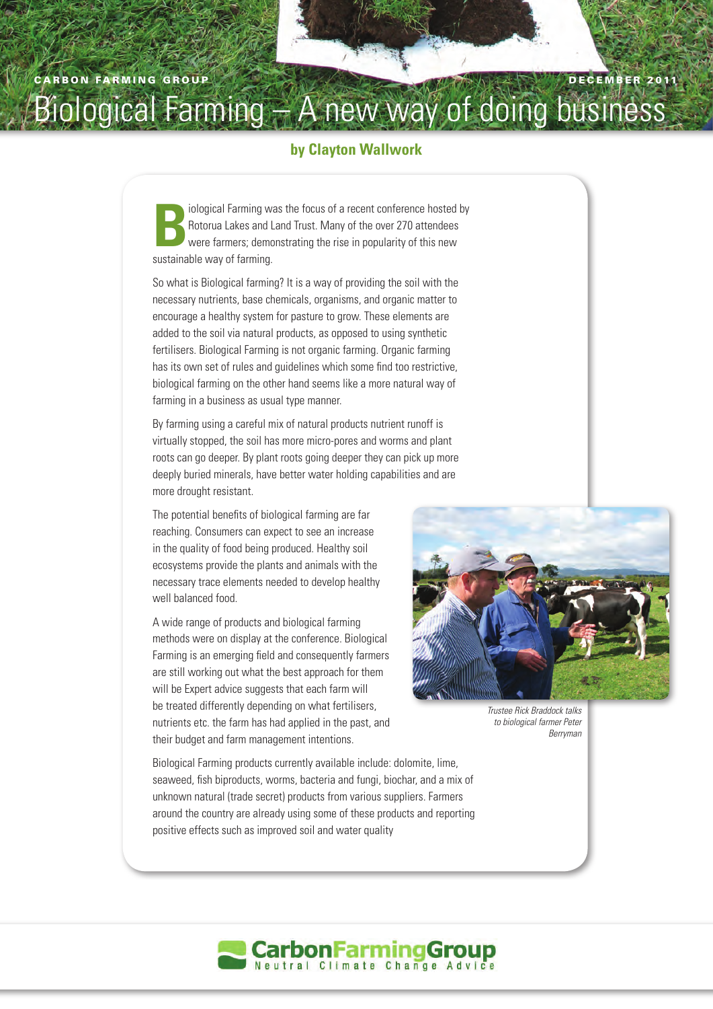## Biological Farming – A new way of doing business

## **by Clayton Wallwork**

**Bookstand Farming was the focus of a recent conference hosted by Rotorua Lakes and Land Trust. Many of the over 270 attendees were farmers; demonstrating the rise in popularity of this new** Rotorua Lakes and Land Trust. Many of the over 270 attendees sustainable way of farming.

So what is Biological farming? It is a way of providing the soil with the necessary nutrients, base chemicals, organisms, and organic matter to encourage a healthy system for pasture to grow. These elements are added to the soil via natural products, as opposed to using synthetic fertilisers. Biological Farming is not organic farming. Organic farming has its own set of rules and guidelines which some find too restrictive, biological farming on the other hand seems like a more natural way of farming in a business as usual type manner.

By farming using a careful mix of natural products nutrient runoff is virtually stopped, the soil has more micro-pores and worms and plant roots can go deeper. By plant roots going deeper they can pick up more deeply buried minerals, have better water holding capabilities and are more drought resistant.

The potential benefits of biological farming are far reaching. Consumers can expect to see an increase in the quality of food being produced. Healthy soil ecosystems provide the plants and animals with the necessary trace elements needed to develop healthy well balanced food.

A wide range of products and biological farming methods were on display at the conference. Biological Farming is an emerging field and consequently farmers are still working out what the best approach for them will be Expert advice suggests that each farm will be treated differently depending on what fertilisers, nutrients etc. the farm has had applied in the past, and their budget and farm management intentions.

*Trustee Rick Braddock talks to biological farmer Peter Berryman*

Biological Farming products currently available include: dolomite, lime, seaweed, fish biproducts, worms, bacteria and fungi, biochar, and a mix of unknown natural (trade secret) products from various suppliers. Farmers around the country are already using some of these products and reporting positive effects such as improved soil and water quality